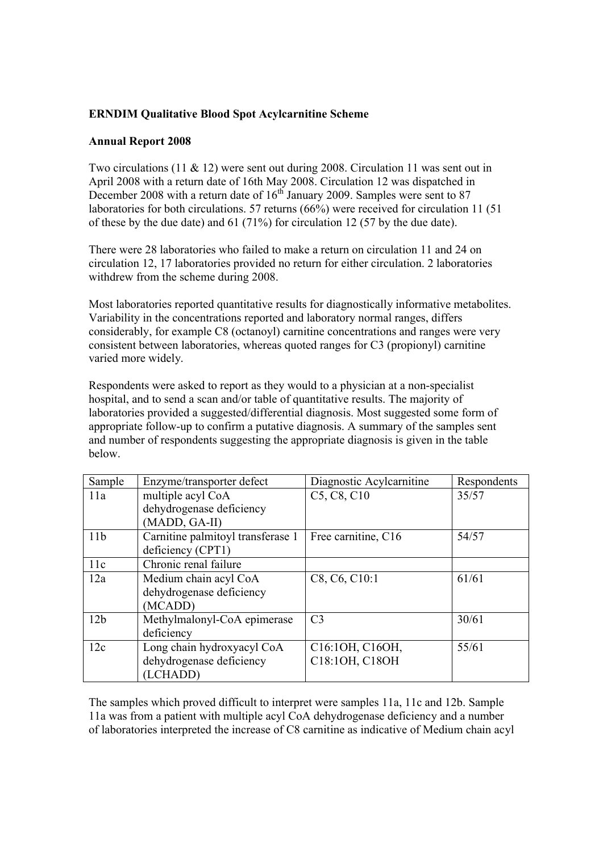## **ERNDIM Qualitative Blood Spot Acylcarnitine Scheme**

## **Annual Report 2008**

Two circulations (11 & 12) were sent out during 2008. Circulation 11 was sent out in April 2008 with a return date of 16th May 2008. Circulation 12 was dispatched in December 2008 with a return date of  $16<sup>th</sup>$  January 2009. Samples were sent to 87 laboratories for both circulations. 57 returns (66%) were received for circulation 11 (51 of these by the due date) and 61 (71%) for circulation 12 (57 by the due date).

There were 28 laboratories who failed to make a return on circulation 11 and 24 on circulation 12, 17 laboratories provided no return for either circulation. 2 laboratories withdrew from the scheme during 2008.

Most laboratories reported quantitative results for diagnostically informative metabolites. Variability in the concentrations reported and laboratory normal ranges, differs considerably, for example C8 (octanoyl) carnitine concentrations and ranges were very consistent between laboratories, whereas quoted ranges for C3 (propionyl) carnitine varied more widely.

Respondents were asked to report as they would to a physician at a non-specialist hospital, and to send a scan and/or table of quantitative results. The majority of laboratories provided a suggested/differential diagnosis. Most suggested some form of appropriate follow-up to confirm a putative diagnosis. A summary of the samples sent and number of respondents suggesting the appropriate diagnosis is given in the table below.

| Sample          | Enzyme/transporter defect         | Diagnostic Acylcarnitine                          | Respondents |
|-----------------|-----------------------------------|---------------------------------------------------|-------------|
| 11a             | multiple acyl CoA                 | C <sub>5</sub> , C <sub>8</sub> , C <sub>10</sub> | 35/57       |
|                 | dehydrogenase deficiency          |                                                   |             |
|                 | (MADD, GA-II)                     |                                                   |             |
| 11 <sub>b</sub> | Carnitine palmitoyl transferase 1 | Free carnitine, C16                               | 54/57       |
|                 | deficiency (CPT1)                 |                                                   |             |
| 11c             | Chronic renal failure             |                                                   |             |
| 12a             | Medium chain acyl CoA             | C8, C6, C10:1                                     | 61/61       |
|                 | dehydrogenase deficiency          |                                                   |             |
|                 | (MCADD)                           |                                                   |             |
| 12 <sub>b</sub> | Methylmalonyl-CoA epimerase       | C <sub>3</sub>                                    | 30/61       |
|                 | deficiency                        |                                                   |             |
| 12c             | Long chain hydroxyacyl CoA        | C16:10H, C160H,                                   | 55/61       |
|                 | dehydrogenase deficiency          | C18:10H, C180H                                    |             |
|                 | (LCHADD)                          |                                                   |             |

The samples which proved difficult to interpret were samples 11a, 11c and 12b. Sample 11a was from a patient with multiple acyl CoA dehydrogenase deficiency and a number of laboratories interpreted the increase of C8 carnitine as indicative of Medium chain acyl